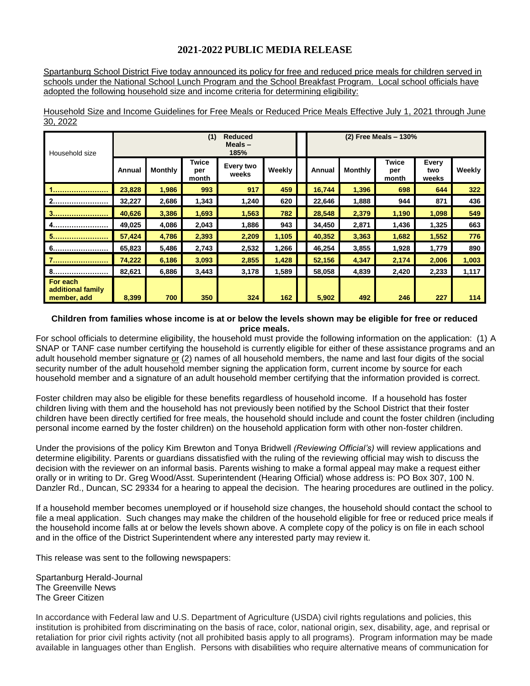## **2021-2022 PUBLIC MEDIA RELEASE**

Spartanburg School District Five today announced its policy for free and reduced price meals for children served in schools under the National School Lunch Program and the School Breakfast Program. Local school officials have adopted the following household size and income criteria for determining eligibility:

| Household size                               | (1)<br><b>Reduced</b><br>Meals $-$<br>185% |                |                              |                    |        | (2) Free Meals - 130% |         |                              |                       |        |
|----------------------------------------------|--------------------------------------------|----------------|------------------------------|--------------------|--------|-----------------------|---------|------------------------------|-----------------------|--------|
|                                              | Annual                                     | <b>Monthly</b> | <b>Twice</b><br>per<br>month | Every two<br>weeks | Weekly | Annual                | Monthly | <b>Twice</b><br>per<br>month | Every<br>two<br>weeks | Weekly |
|                                              | 23,828                                     | 1,986          | 993                          | 917                | 459    | 16,744                | 1,396   | 698                          | 644                   | 322    |
| 2                                            | 32,227                                     | 2,686          | 1,343                        | 1,240              | 620    | 22,646                | 1,888   | 944                          | 871                   | 436    |
| 3                                            | 40,626                                     | 3,386          | 1,693                        | 1,563              | 782    | 28,548                | 2,379   | 1,190                        | 1,098                 | 549    |
| 4<br>                                        | 49,025                                     | 4,086          | 2,043                        | 1,886              | 943    | 34,450                | 2,871   | 1,436                        | 1,325                 | 663    |
| 5                                            | 57,424                                     | 4,786          | 2,393                        | 2,209              | 1,105  | 40,352                | 3,363   | 1,682                        | 1,552                 | 776    |
|                                              | 65,823                                     | 5,486          | 2,743                        | 2,532              | 1,266  | 46,254                | 3,855   | 1,928                        | 1,779                 | 890    |
|                                              | 74,222                                     | 6,186          | 3,093                        | 2,855              | 1,428  | 52,156                | 4,347   | 2,174                        | 2,006                 | 1,003  |
| 8.<br>                                       | 82,621                                     | 6,886          | 3,443                        | 3,178              | 1,589  | 58,058                | 4,839   | 2,420                        | 2,233                 | 1,117  |
| For each<br>additional family<br>member, add | 8,399                                      | 700            | 350                          | 324                | 162    | 5,902                 | 492     | 246                          | 227                   | 114    |

Household Size and Income Guidelines for Free Meals or Reduced Price Meals Effective July 1, 2021 through June 30, 2022

## **Children from families whose income is at or below the levels shown may be eligible for free or reduced price meals.**

For school officials to determine eligibility, the household must provide the following information on the application: (1) A SNAP or TANF case number certifying the household is currently eligible for either of these assistance programs and an adult household member signature or (2) names of all household members, the name and last four digits of the social security number of the adult household member signing the application form, current income by source for each household member and a signature of an adult household member certifying that the information provided is correct.

Foster children may also be eligible for these benefits regardless of household income. If a household has foster children living with them and the household has not previously been notified by the School District that their foster children have been directly certified for free meals, the household should include and count the foster children (including personal income earned by the foster children) on the household application form with other non-foster children.

Under the provisions of the policy Kim Brewton and Tonya Bridwell *(Reviewing Official's)* will review applications and determine eligibility. Parents or guardians dissatisfied with the ruling of the reviewing official may wish to discuss the decision with the reviewer on an informal basis. Parents wishing to make a formal appeal may make a request either orally or in writing to Dr. Greg Wood/Asst. Superintendent (Hearing Official) whose address is: PO Box 307, 100 N. Danzler Rd., Duncan, SC 29334 for a hearing to appeal the decision. The hearing procedures are outlined in the policy.

If a household member becomes unemployed or if household size changes, the household should contact the school to file a meal application. Such changes may make the children of the household eligible for free or reduced price meals if the household income falls at or below the levels shown above. A complete copy of the policy is on file in each school and in the office of the District Superintendent where any interested party may review it.

This release was sent to the following newspapers:

Spartanburg Herald-Journal The Greenville News The Greer Citizen

In accordance with Federal law and U.S. Department of Agriculture (USDA) civil rights regulations and policies, this institution is prohibited from discriminating on the basis of race, color, national origin, sex, disability, age, and reprisal or retaliation for prior civil rights activity (not all prohibited basis apply to all programs). Program information may be made available in languages other than English. Persons with disabilities who require alternative means of communication for